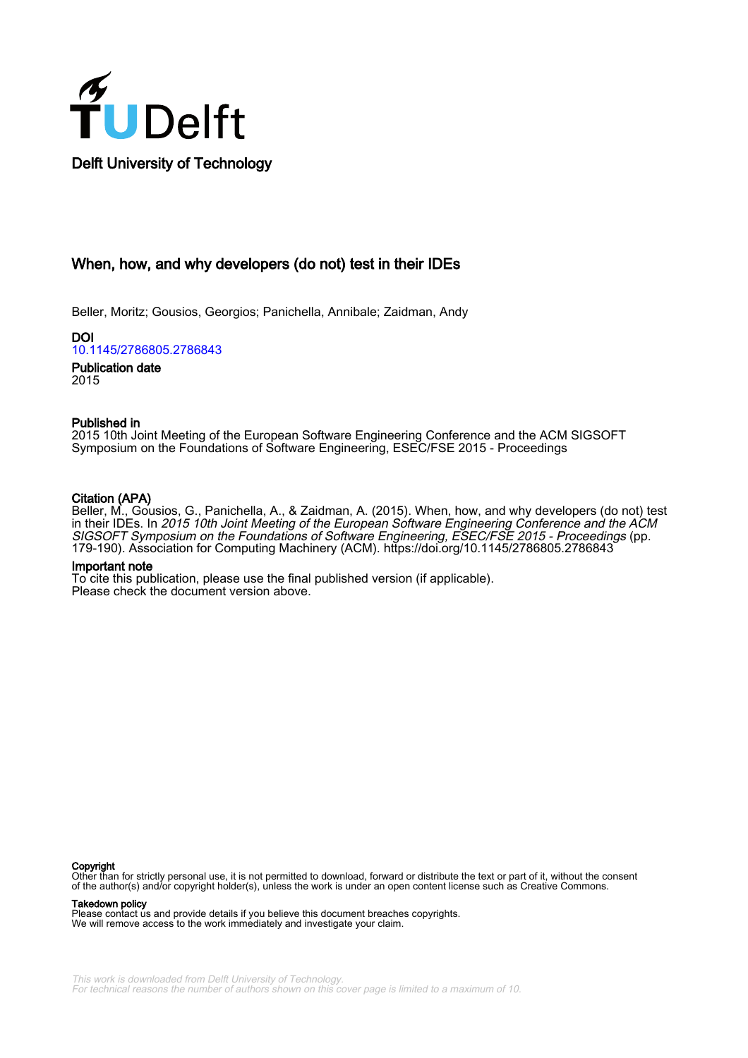

When, how, and why developers (do not) test in their IDEs

Beller, Moritz; Gousios, Georgios; Panichella, Annibale; Zaidman, Andy

DOI [10.1145/2786805.2786843](https://doi.org/10.1145/2786805.2786843)

Publication date 2015

# Published in

2015 10th Joint Meeting of the European Software Engineering Conference and the ACM SIGSOFT Symposium on the Foundations of Software Engineering, ESEC/FSE 2015 - Proceedings

# Citation (APA)

Beller, M., Gousios, G., Panichella, A., & Zaidman, A. (2015). When, how, and why developers (do not) test in their IDEs. In 2015 10th Joint Meeting of the European Software Engineering Conference and the ACM SIGSOFT Symposium on the Foundations of Software Engineering, ESEC/FSE 2015 - Proceedings (pp. 179-190). Association for Computing Machinery (ACM).<https://doi.org/10.1145/2786805.2786843>

## Important note

To cite this publication, please use the final published version (if applicable). Please check the document version above.

#### Copyright

Other than for strictly personal use, it is not permitted to download, forward or distribute the text or part of it, without the consent of the author(s) and/or copyright holder(s), unless the work is under an open content license such as Creative Commons.

Takedown policy

Please contact us and provide details if you believe this document breaches copyrights. We will remove access to the work immediately and investigate your claim.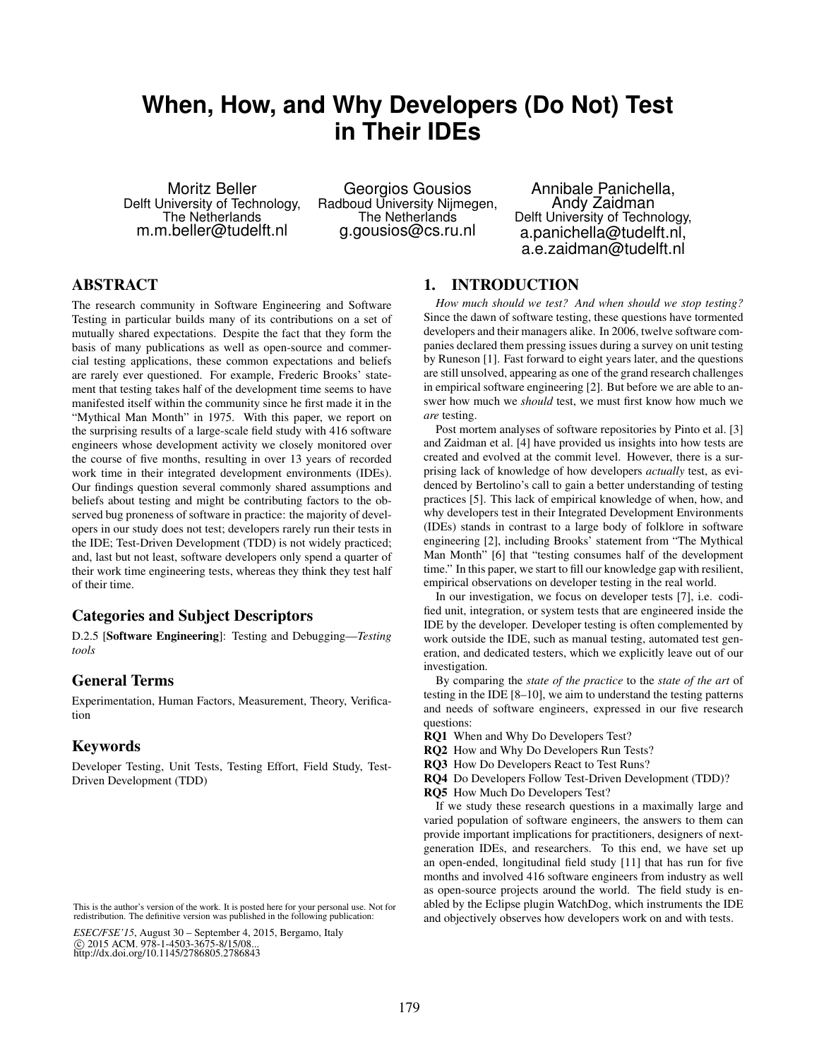# **When, How, and Why Developers (Do Not) Test in Their IDEs**

Moritz Beller Delft University of Technology, The Netherlands m.m.beller@tudelft.nl

Georgios Gousios Radboud University Nijmegen, The Netherlands g.gousios@cs.ru.nl

Annibale Panichella, Andy Zaidman Delft University of Technology, a.panichella@tudelft.nl, a.e.zaidman@tudelft.nl

# ABSTRACT

The research community in Software Engineering and Software Testing in particular builds many of its contributions on a set of mutually shared expectations. Despite the fact that they form the basis of many publications as well as open-source and commercial testing applications, these common expectations and beliefs are rarely ever questioned. For example, Frederic Brooks' statement that testing takes half of the development time seems to have manifested itself within the community since he first made it in the "Mythical Man Month" in 1975. With this paper, we report on the surprising results of a large-scale field study with 416 software engineers whose development activity we closely monitored over the course of five months, resulting in over 13 years of recorded work time in their integrated development environments (IDEs). Our findings question several commonly shared assumptions and beliefs about testing and might be contributing factors to the observed bug proneness of software in practice: the majority of developers in our study does not test; developers rarely run their tests in the IDE; Test-Driven Development (TDD) is not widely practiced; and, last but not least, software developers only spend a quarter of their work time engineering tests, whereas they think they test half of their time.

## Categories and Subject Descriptors

D.2.5 [Software Engineering]: Testing and Debugging—*Testing tools*

## General Terms

Experimentation, Human Factors, Measurement, Theory, Verification

# Keywords

Developer Testing, Unit Tests, Testing Effort, Field Study, Test-Driven Development (TDD)

## 1. INTRODUCTION

*How much should we test? And when should we stop testing?* Since the dawn of software testing, these questions have tormented developers and their managers alike. In 2006, twelve software companies declared them pressing issues during a survey on unit testing by Runeson [\[1\]](#page-11-0). Fast forward to eight years later, and the questions are still unsolved, appearing as one of the grand research challenges in empirical software engineering [\[2\]](#page-11-1). But before we are able to answer how much we *should* test, we must first know how much we *are* testing.

Post mortem analyses of software repositories by Pinto et al. [\[3\]](#page-11-2) and Zaidman et al. [\[4\]](#page-11-3) have provided us insights into how tests are created and evolved at the commit level. However, there is a surprising lack of knowledge of how developers *actually* test, as evidenced by Bertolino's call to gain a better understanding of testing practices [\[5\]](#page-11-4). This lack of empirical knowledge of when, how, and why developers test in their Integrated Development Environments (IDEs) stands in contrast to a large body of folklore in software engineering [\[2\]](#page-11-1), including Brooks' statement from "The Mythical Man Month" [\[6\]](#page-11-5) that "testing consumes half of the development time." In this paper, we start to fill our knowledge gap with resilient, empirical observations on developer testing in the real world.

In our investigation, we focus on developer tests [\[7\]](#page-11-6), i.e. codified unit, integration, or system tests that are engineered inside the IDE by the developer. Developer testing is often complemented by work outside the IDE, such as manual testing, automated test generation, and dedicated testers, which we explicitly leave out of our investigation.

By comparing the *state of the practice* to the *state of the art* of testing in the IDE [\[8](#page-11-7)[–10\]](#page-11-8), we aim to understand the testing patterns and needs of software engineers, expressed in our five research questions:

- RQ1 When and Why Do Developers Test?
- RQ2 How and Why Do Developers Run Tests?
- RQ3 How Do Developers React to Test Runs?
- RQ4 Do Developers Follow Test-Driven Development (TDD)?
- RQ5 How Much Do Developers Test?

If we study these research questions in a maximally large and varied population of software engineers, the answers to them can provide important implications for practitioners, designers of nextgeneration IDEs, and researchers. To this end, we have set up an open-ended, longitudinal field study [\[11\]](#page-11-9) that has run for five months and involved 416 software engineers from industry as well as open-source projects around the world. The field study is enabled by the Eclipse plugin WatchDog, which instruments the IDE and objectively observes how developers work on and with tests.

not made or distributed for profit or commercial advantage and that copies This is the author's version of the work. It is posted here for your personal use. Not for redistribution. The definitive version was published in the following publication:

ESEC/FSE'15, August 30 – September 4, 2015, Bergamo, Italy C 2015 ACM. 978-1-4503-36 nttp://dx.doi.org/10.1143/2780803.2780843 c 2015 ACM. 978-1-4503-3675-8/15/08... http://dx.doi.org/10.1145/2786805.2786843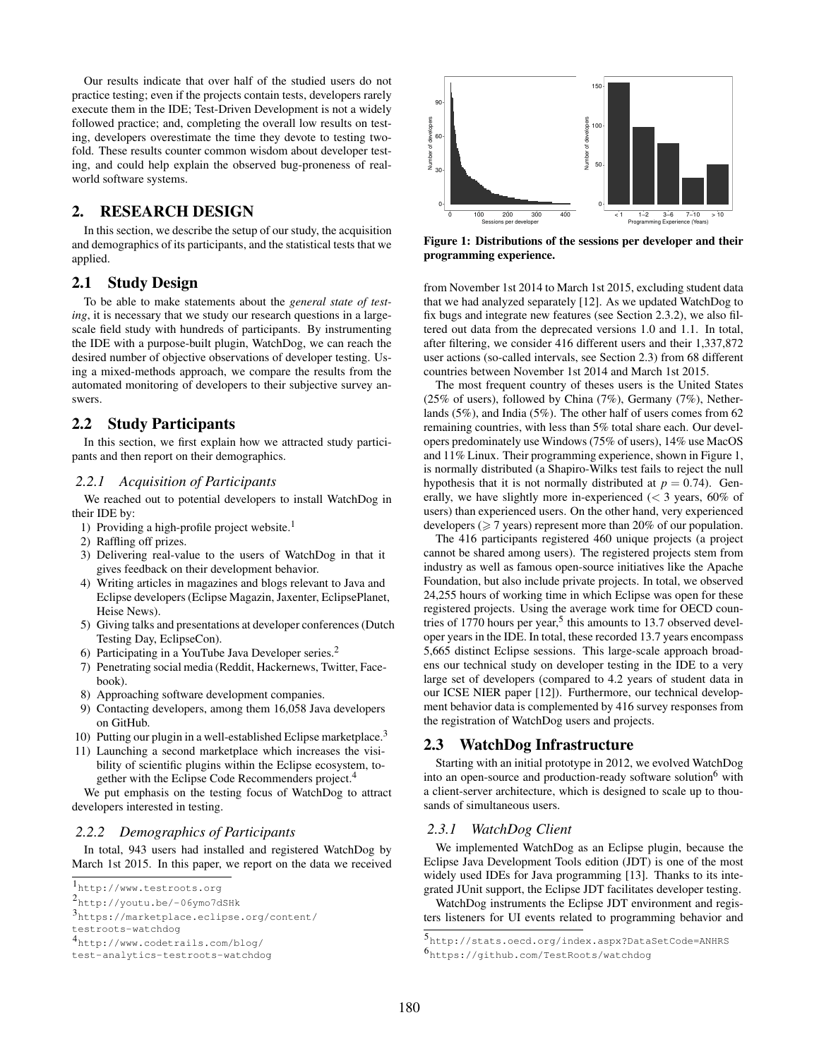Our results indicate that over half of the studied users do not practice testing; even if the projects contain tests, developers rarely execute them in the IDE; Test-Driven Development is not a widely followed practice; and, completing the overall low results on testing, developers overestimate the time they devote to testing twofold. These results counter common wisdom about developer testing, and could help explain the observed bug-proneness of realworld software systems.

# 2. RESEARCH DESIGN

In this section, we describe the setup of our study, the acquisition and demographics of its participants, and the statistical tests that we applied.

## 2.1 Study Design

To be able to make statements about the *general state of testing*, it is necessary that we study our research questions in a largescale field study with hundreds of participants. By instrumenting the IDE with a purpose-built plugin, WatchDog, we can reach the desired number of objective observations of developer testing. Using a mixed-methods approach, we compare the results from the automated monitoring of developers to their subjective survey answers.

## 2.2 Study Participants

In this section, we first explain how we attracted study participants and then report on their demographics.

#### <span id="page-2-10"></span>*2.2.1 Acquisition of Participants*

We reached out to potential developers to install WatchDog in their IDE by:

- [1](#page-2-0)) Providing a high-profile project website.<sup>1</sup>
- 2) Raffling off prizes.
- 3) Delivering real-value to the users of WatchDog in that it gives feedback on their development behavior.
- 4) Writing articles in magazines and blogs relevant to Java and Eclipse developers (Eclipse Magazin, Jaxenter, EclipsePlanet, Heise News).
- 5) Giving talks and presentations at developer conferences (Dutch Testing Day, EclipseCon).
- 6) Participating in a YouTube Java Developer series.[2](#page-2-1)
- 7) Penetrating social media (Reddit, Hackernews, Twitter, Facebook).
- 8) Approaching software development companies.
- 9) Contacting developers, among them 16,058 Java developers on GitHub.
- 10) Putting our plugin in a well-established Eclipse marketplace.<sup>[3](#page-2-2)</sup>
- <span id="page-2-9"></span>11) Launching a second marketplace which increases the visibility of scientific plugins within the Eclipse ecosystem, together with the Eclipse Code Recommenders project.[4](#page-2-3)

We put emphasis on the testing focus of WatchDog to attract developers interested in testing.

#### <span id="page-2-8"></span>*2.2.2 Demographics of Participants*

In total, 943 users had installed and registered WatchDog by March 1st 2015. In this paper, we report on the data we received

<span id="page-2-0"></span><sup>1</sup><http://www.testroots.org>



<span id="page-2-5"></span>Figure 1: Distributions of the sessions per developer and their programming experience.

from November 1st 2014 to March 1st 2015, excluding student data that we had analyzed separately [\[12\]](#page-11-10). As we updated WatchDog to fix bugs and integrate new features (see Section [2.3.2\)](#page-3-0), we also filtered out data from the deprecated versions 1.0 and 1.1. In total, after filtering, we consider 416 different users and their 1,337,872 user actions (so-called intervals, see Section [2.3\)](#page-2-4) from 68 different countries between November 1st 2014 and March 1st 2015.

The most frequent country of theses users is the United States (25% of users), followed by China (7%), Germany (7%), Netherlands (5%), and India (5%). The other half of users comes from 62 remaining countries, with less than 5% total share each. Our developers predominately use Windows (75% of users), 14% use MacOS and 11% Linux. Their programming experience, shown in Figure [1,](#page-2-5) is normally distributed (a Shapiro-Wilks test fails to reject the null hypothesis that it is not normally distributed at  $p = 0.74$ ). Generally, we have slightly more in-experienced  $\langle \langle 3 \rangle$  years, 60% of users) than experienced users. On the other hand, very experienced developers ( $\geq 7$  years) represent more than 20% of our population.

The 416 participants registered 460 unique projects (a project cannot be shared among users). The registered projects stem from industry as well as famous open-source initiatives like the Apache Foundation, but also include private projects. In total, we observed 24,255 hours of working time in which Eclipse was open for these registered projects. Using the average work time for OECD countries of  $1770$  hours per year,<sup>[5](#page-2-6)</sup> this amounts to 13.7 observed developer years in the IDE. In total, these recorded 13.7 years encompass 5,665 distinct Eclipse sessions. This large-scale approach broadens our technical study on developer testing in the IDE to a very large set of developers (compared to 4.2 years of student data in our ICSE NIER paper [\[12\]](#page-11-10)). Furthermore, our technical development behavior data is complemented by 416 survey responses from the registration of WatchDog users and projects.

# <span id="page-2-4"></span>2.3 WatchDog Infrastructure

Starting with an initial prototype in 2012, we evolved WatchDog into an open-source and production-ready software solution<sup>[6](#page-2-7)</sup> with a client-server architecture, which is designed to scale up to thousands of simultaneous users.

# *2.3.1 WatchDog Client*

We implemented WatchDog as an Eclipse plugin, because the Eclipse Java Development Tools edition (JDT) is one of the most widely used IDEs for Java programming [\[13\]](#page-11-11). Thanks to its integrated JUnit support, the Eclipse JDT facilitates developer testing.

WatchDog instruments the Eclipse JDT environment and registers listeners for UI events related to programming behavior and

<span id="page-2-1"></span><sup>2</sup><http://youtu.be/-06ymo7dSHk>

<span id="page-2-2"></span><sup>3</sup>[https://marketplace.eclipse.org/content/](https://marketplace.eclipse.org/content/testroots-watchdog)

[testroots-watchdog](https://marketplace.eclipse.org/content/testroots-watchdog)

<span id="page-2-3"></span><sup>4</sup>[http://www.codetrails.com/blog/](http://www.codetrails.com/blog/test-analytics-testroots-watchdog)

[test-analytics-testroots-watchdog](http://www.codetrails.com/blog/test-analytics-testroots-watchdog)

<span id="page-2-7"></span><span id="page-2-6"></span><sup>5</sup><http://stats.oecd.org/index.aspx?DataSetCode=ANHRS> <sup>6</sup><https://github.com/TestRoots/watchdog>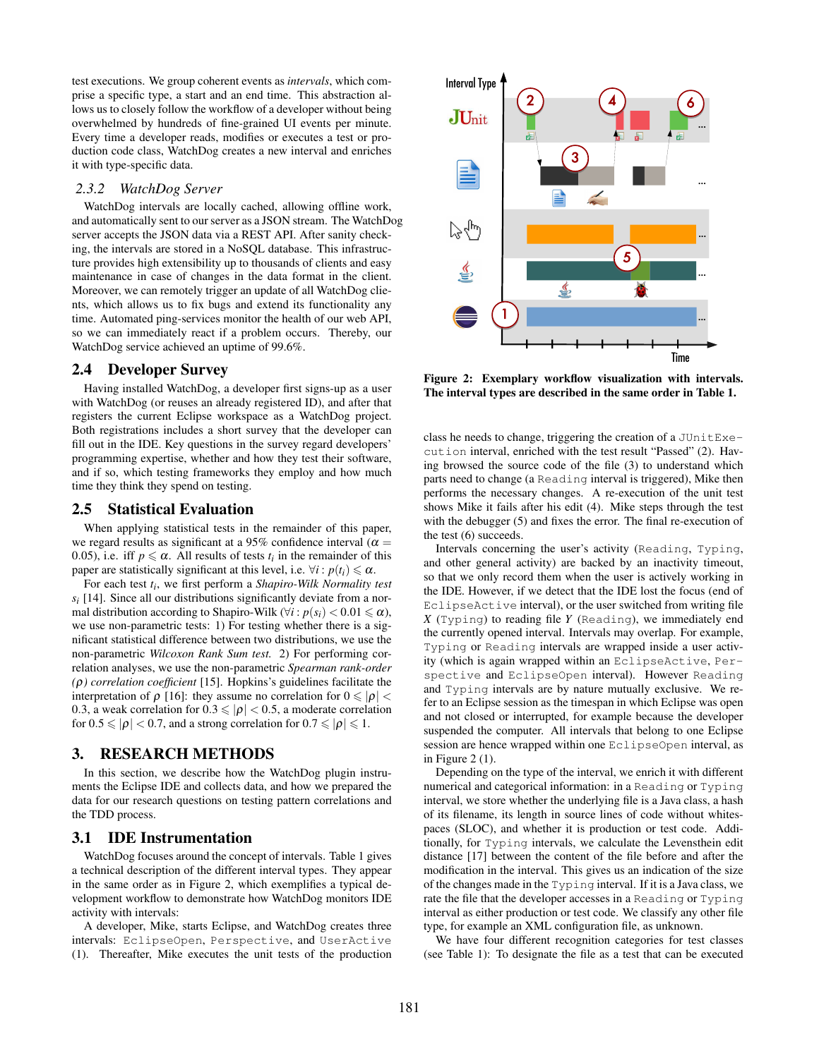test executions. We group coherent events as *intervals*, which comprise a specific type, a start and an end time. This abstraction allows us to closely follow the workflow of a developer without being overwhelmed by hundreds of fine-grained UI events per minute. Every time a developer reads, modifies or executes a test or production code class, WatchDog creates a new interval and enriches it with type-specific data.

#### <span id="page-3-0"></span>*2.3.2 WatchDog Server*

WatchDog intervals are locally cached, allowing offline work, and automatically sent to our server as a JSON stream. The WatchDog server accepts the JSON data via a REST API. After sanity checking, the intervals are stored in a NoSQL database. This infrastructure provides high extensibility up to thousands of clients and easy maintenance in case of changes in the data format in the client. Moreover, we can remotely trigger an update of all WatchDog clients, which allows us to fix bugs and extend its functionality any time. Automated ping-services monitor the health of our web API, so we can immediately react if a problem occurs. Thereby, our WatchDog service achieved an uptime of 99.6%.

## 2.4 Developer Survey

Having installed WatchDog, a developer first signs-up as a user with WatchDog (or reuses an already registered ID), and after that registers the current Eclipse workspace as a WatchDog project. Both registrations includes a short survey that the developer can fill out in the IDE. Key questions in the survey regard developers' programming expertise, whether and how they test their software, and if so, which testing frameworks they employ and how much time they think they spend on testing.

#### 2.5 Statistical Evaluation

When applying statistical tests in the remainder of this paper, we regard results as significant at a 95% confidence interval ( $\alpha$  = 0.05), i.e. iff  $p \le \alpha$ . All results of tests  $t_i$  in the remainder of this paper are statistically significant at this level, i.e.  $\forall i : p(t_i) \leq \alpha$ .

For each test *t<sup>i</sup>* , we first perform a *Shapiro-Wilk Normality test*  $s_i$  [\[14\]](#page-11-12). Since all our distributions significantly deviate from a normal distribution according to Shapiro-Wilk ( $\forall i : p(s_i) < 0.01 \leq \alpha$ ), we use non-parametric tests: 1) For testing whether there is a significant statistical difference between two distributions, we use the non-parametric *Wilcoxon Rank Sum test.* 2) For performing correlation analyses, we use the non-parametric *Spearman rank-order (*ρ*) correlation coefficient* [\[15\]](#page-11-13). Hopkins's guidelines facilitate the interpretation of  $\rho$  [\[16\]](#page-11-14): they assume no correlation for  $0 \leq |\rho|$  < 0.3, a weak correlation for  $0.3 \leq |\rho| < 0.5$ , a moderate correlation for  $0.5 \leqslant |\rho| < 0.7$ , and a strong correlation for  $0.7 \leqslant |\rho| \leqslant 1$ .

#### 3. RESEARCH METHODS

In this section, we describe how the WatchDog plugin instruments the Eclipse IDE and collects data, and how we prepared the data for our research questions on testing pattern correlations and the TDD process.

#### 3.1 IDE Instrumentation

WatchDog focuses around the concept of intervals. Table [1](#page-4-0) gives a technical description of the different interval types. They appear in the same order as in Figure [2,](#page-3-1) which exemplifies a typical development workflow to demonstrate how WatchDog monitors IDE activity with intervals:

A developer, Mike, starts Eclipse, and WatchDog creates three intervals: EclipseOpen, Perspective, and UserActive (1). Thereafter, Mike executes the unit tests of the production



<span id="page-3-1"></span>Figure 2: Exemplary workflow visualization with intervals. The interval types are described in the same order in Table [1.](#page-4-0)

class he needs to change, triggering the creation of a JUnitExecution interval, enriched with the test result "Passed" (2). Having browsed the source code of the file (3) to understand which parts need to change (a Reading interval is triggered), Mike then performs the necessary changes. A re-execution of the unit test shows Mike it fails after his edit (4). Mike steps through the test with the debugger (5) and fixes the error. The final re-execution of the test (6) succeeds.

Intervals concerning the user's activity (Reading, Typing, and other general activity) are backed by an inactivity timeout, so that we only record them when the user is actively working in the IDE. However, if we detect that the IDE lost the focus (end of EclipseActive interval), or the user switched from writing file *X* (Typing) to reading file *Y* (Reading), we immediately end the currently opened interval. Intervals may overlap. For example, Typing or Reading intervals are wrapped inside a user activity (which is again wrapped within an EclipseActive, Perspective and EclipseOpen interval). However Reading and Typing intervals are by nature mutually exclusive. We refer to an Eclipse session as the timespan in which Eclipse was open and not closed or interrupted, for example because the developer suspended the computer. All intervals that belong to one Eclipse session are hence wrapped within one EclipseOpen interval, as in Figure [2](#page-3-1) (1).

Depending on the type of the interval, we enrich it with different numerical and categorical information: in a Reading or Typing interval, we store whether the underlying file is a Java class, a hash of its filename, its length in source lines of code without whitespaces (SLOC), and whether it is production or test code. Additionally, for Typing intervals, we calculate the Levensthein edit distance [\[17\]](#page-11-15) between the content of the file before and after the modification in the interval. This gives us an indication of the size of the changes made in the Typing interval. If it is a Java class, we rate the file that the developer accesses in a Reading or Typing interval as either production or test code. We classify any other file type, for example an XML configuration file, as unknown.

We have four different recognition categories for test classes (see Table [1\)](#page-4-0): To designate the file as a test that can be executed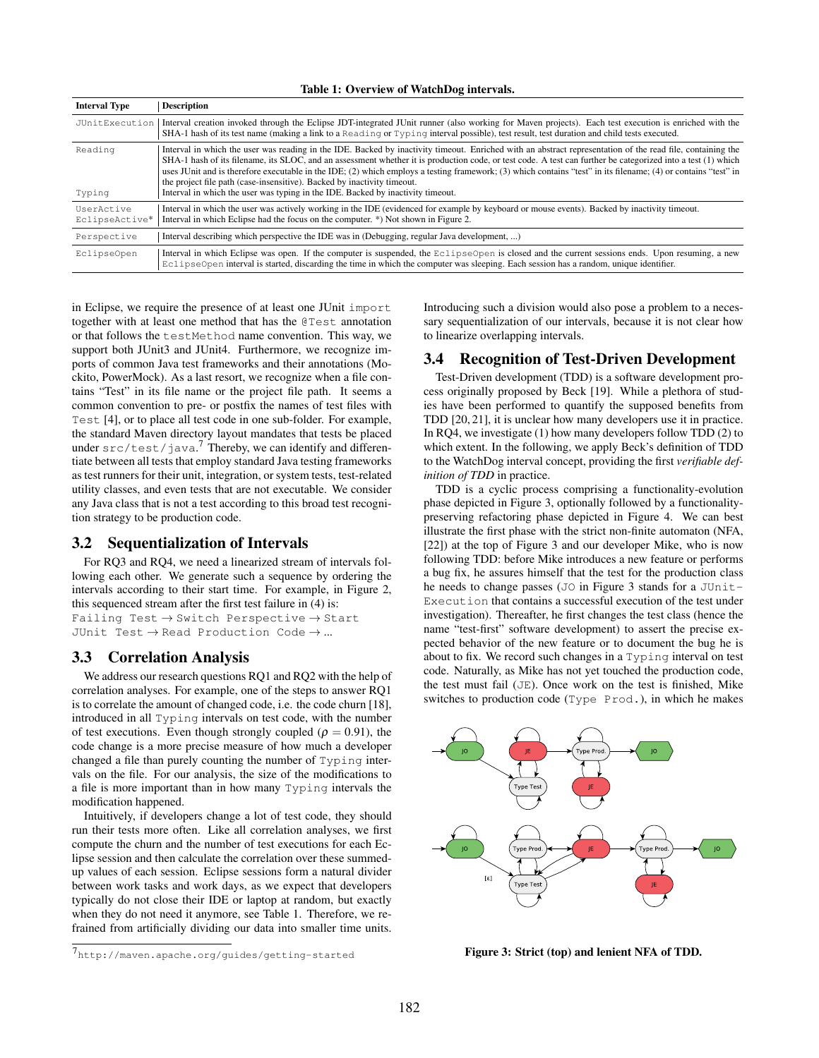| <b>Interval Type</b>         | <b>Description</b>                                                                                                                                                                                                                                                                                                                                                                                                                                                                                                                                                                                                                                         |
|------------------------------|------------------------------------------------------------------------------------------------------------------------------------------------------------------------------------------------------------------------------------------------------------------------------------------------------------------------------------------------------------------------------------------------------------------------------------------------------------------------------------------------------------------------------------------------------------------------------------------------------------------------------------------------------------|
|                              | JUnitExecution Interval creation invoked through the Eclipse JDT-integrated JUnit runner (also working for Maven projects). Each test execution is enriched with the<br>SHA-1 hash of its test name (making a link to a Reading or Typing interval possible), test result, test duration and child tests executed.                                                                                                                                                                                                                                                                                                                                         |
| Reading<br>Typing            | Interval in which the user was reading in the IDE. Backed by inactivity timeout. Enriched with an abstract representation of the read file, containing the<br>SHA-1 hash of its filename, its SLOC, and an assessment whether it is production code, or test code. A test can further be categorized into a test (1) which<br>uses JUnit and is therefore executable in the IDE; (2) which employs a testing framework; (3) which contains "test" in its filename; (4) or contains "test" in<br>the project file path (case-insensitive). Backed by inactivity timeout.<br>Interval in which the user was typing in the IDE. Backed by inactivity timeout. |
| UserActive<br>EclipseActive* | Interval in which the user was actively working in the IDE (evidenced for example by keyboard or mouse events). Backed by inactivity timeout.<br>Interval in which Eclipse had the focus on the computer. *) Not shown in Figure 2.                                                                                                                                                                                                                                                                                                                                                                                                                        |
| Perspective                  | Interval describing which perspective the IDE was in (Debugging, regular Java development, )                                                                                                                                                                                                                                                                                                                                                                                                                                                                                                                                                               |
| EclipseOpen                  | Interval in which Eclipse was open. If the computer is suspended, the EclipseOpen is closed and the current sessions ends. Upon resuming, a new<br>EclipseOpen interval is started, discarding the time in which the computer was sleeping. Each session has a random, unique identifier.                                                                                                                                                                                                                                                                                                                                                                  |

in Eclipse, we require the presence of at least one JUnit import together with at least one method that has the @Test annotation or that follows the testMethod name convention. This way, we support both JUnit3 and JUnit4. Furthermore, we recognize imports of common Java test frameworks and their annotations (Mockito, PowerMock). As a last resort, we recognize when a file contains "Test" in its file name or the project file path. It seems a common convention to pre- or postfix the names of test files with Test [\[4\]](#page-11-3), or to place all test code in one sub-folder. For example, the standard Maven directory layout mandates that tests be placed under  $src / test / java.$  Thereby, we can identify and differentiate between all tests that employ standard Java testing frameworks as test runners for their unit, integration, or system tests, test-related utility classes, and even tests that are not executable. We consider any Java class that is not a test according to this broad test recognition strategy to be production code.

## <span id="page-4-3"></span>3.2 Sequentialization of Intervals

For RQ3 and RQ4, we need a linearized stream of intervals following each other. We generate such a sequence by ordering the intervals according to their start time. For example, in Figure [2,](#page-3-1) this sequenced stream after the first test failure in (4) is: Failing Test  $\rightarrow$  Switch Perspective  $\rightarrow$  Start JUnit Test  $\rightarrow$  Read Production Code  $\rightarrow$  ...

## 3.3 Correlation Analysis

We address our research questions RQ1 and RQ2 with the help of correlation analyses. For example, one of the steps to answer RQ1 is to correlate the amount of changed code, i.e. the code churn [\[18\]](#page-11-16), introduced in all Typing intervals on test code, with the number of test executions. Even though strongly coupled ( $\rho = 0.91$ ), the code change is a more precise measure of how much a developer changed a file than purely counting the number of Typing intervals on the file. For our analysis, the size of the modifications to a file is more important than in how many Typing intervals the modification happened.

Intuitively, if developers change a lot of test code, they should run their tests more often. Like all correlation analyses, we first compute the churn and the number of test executions for each Eclipse session and then calculate the correlation over these summedup values of each session. Eclipse sessions form a natural divider between work tasks and work days, as we expect that developers typically do not close their IDE or laptop at random, but exactly when they do not need it anymore, see Table [1.](#page-4-0) Therefore, we refrained from artificially dividing our data into smaller time units.

<span id="page-4-0"></span>Introducing such a division would also pose a problem to a necessary sequentialization of our intervals, because it is not clear how to linearize overlapping intervals.

# 3.4 Recognition of Test-Driven Development

Test-Driven development (TDD) is a software development process originally proposed by Beck [\[19\]](#page-11-17). While a plethora of studies have been performed to quantify the supposed benefits from TDD [\[20,](#page-11-18) [21\]](#page-11-19), it is unclear how many developers use it in practice. In RQ4, we investigate (1) how many developers follow TDD (2) to which extent. In the following, we apply Beck's definition of TDD to the WatchDog interval concept, providing the first *verifiable definition of TDD* in practice.

TDD is a cyclic process comprising a functionality-evolution phase depicted in Figure [3,](#page-4-2) optionally followed by a functionalitypreserving refactoring phase depicted in Figure [4.](#page-5-0) We can best illustrate the first phase with the strict non-finite automaton (NFA, [\[22\]](#page-11-20)) at the top of Figure [3](#page-4-2) and our developer Mike, who is now following TDD: before Mike introduces a new feature or performs a bug fix, he assures himself that the test for the production class he needs to change passes (JO in Figure [3](#page-4-2) stands for a JUnit-Execution that contains a successful execution of the test under investigation). Thereafter, he first changes the test class (hence the name "test-first" software development) to assert the precise expected behavior of the new feature or to document the bug he is about to fix. We record such changes in a Typing interval on test code. Naturally, as Mike has not yet touched the production code, the test must fail (JE). Once work on the test is finished, Mike switches to production code (Type Prod.), in which he makes



<span id="page-4-2"></span>Figure 3: Strict (top) and lenient NFA of TDD.

<span id="page-4-1"></span><sup>7</sup><http://maven.apache.org/guides/getting-started>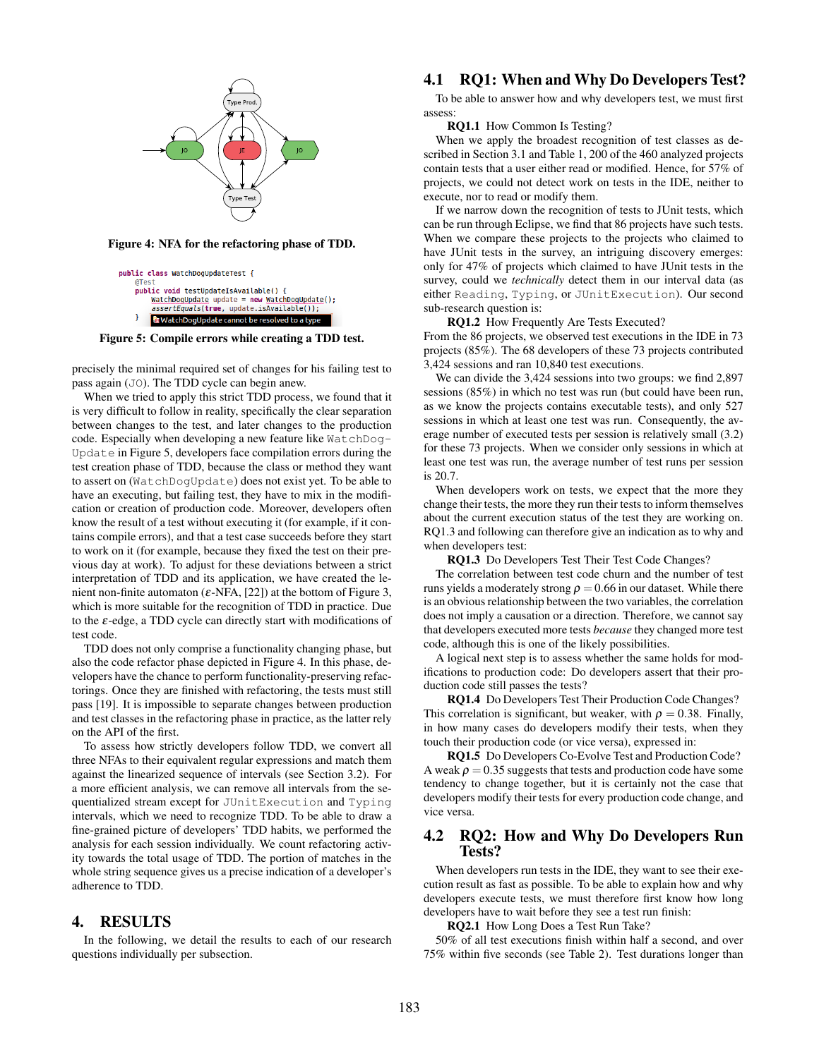

<span id="page-5-0"></span>public class WatchDogUpdateTest { public void testUpdateIsAvailable() { WatchDogUpdate update = new WatchDogUpdate();<br>assertEquals(true, update.isAvailable()); <mark>を</mark> WatchDogUpdate cannot be resolved to a type

<span id="page-5-1"></span>Figure 5: Compile errors while creating a TDD test.

precisely the minimal required set of changes for his failing test to pass again (JO). The TDD cycle can begin anew.

When we tried to apply this strict TDD process, we found that it is very difficult to follow in reality, specifically the clear separation between changes to the test, and later changes to the production code. Especially when developing a new feature like WatchDog-Update in Figure [5,](#page-5-1) developers face compilation errors during the test creation phase of TDD, because the class or method they want to assert on (WatchDogUpdate) does not exist yet. To be able to have an executing, but failing test, they have to mix in the modification or creation of production code. Moreover, developers often know the result of a test without executing it (for example, if it contains compile errors), and that a test case succeeds before they start to work on it (for example, because they fixed the test on their previous day at work). To adjust for these deviations between a strict interpretation of TDD and its application, we have created the lenient non-finite automaton ( $\varepsilon$ -NFA, [\[22\]](#page-11-20)) at the bottom of Figure [3,](#page-4-2) which is more suitable for the recognition of TDD in practice. Due to the  $\varepsilon$ -edge, a TDD cycle can directly start with modifications of test code.

TDD does not only comprise a functionality changing phase, but also the code refactor phase depicted in Figure [4.](#page-5-0) In this phase, developers have the chance to perform functionality-preserving refactorings. Once they are finished with refactoring, the tests must still pass [\[19\]](#page-11-17). It is impossible to separate changes between production and test classes in the refactoring phase in practice, as the latter rely on the API of the first.

To assess how strictly developers follow TDD, we convert all three NFAs to their equivalent regular expressions and match them against the linearized sequence of intervals (see Section [3.2\)](#page-4-3). For a more efficient analysis, we can remove all intervals from the sequentialized stream except for JUnitExecution and Typing intervals, which we need to recognize TDD. To be able to draw a fine-grained picture of developers' TDD habits, we performed the analysis for each session individually. We count refactoring activity towards the total usage of TDD. The portion of matches in the whole string sequence gives us a precise indication of a developer's adherence to TDD.

## 4. RESULTS

In the following, we detail the results to each of our research questions individually per subsection.

# <span id="page-5-2"></span>4.1 RQ1: When and Why Do Developers Test?

To be able to answer how and why developers test, we must first assess:

RQ1.1 How Common Is Testing?

When we apply the broadest recognition of test classes as described in Section [3.1](#page-3-1) and Table [1,](#page-4-0) 200 of the 460 analyzed projects contain tests that a user either read or modified. Hence, for 57% of projects, we could not detect work on tests in the IDE, neither to execute, nor to read or modify them.

If we narrow down the recognition of tests to JUnit tests, which can be run through Eclipse, we find that 86 projects have such tests. When we compare these projects to the projects who claimed to have JUnit tests in the survey, an intriguing discovery emerges: only for 47% of projects which claimed to have JUnit tests in the survey, could we *technically* detect them in our interval data (as either Reading, Typing, or JUnitExecution). Our second sub-research question is:

RQ1.2 How Frequently Are Tests Executed?

From the 86 projects, we observed test executions in the IDE in 73 projects (85%). The 68 developers of these 73 projects contributed 3,424 sessions and ran 10,840 test executions.

We can divide the 3,424 sessions into two groups: we find 2,897 sessions (85%) in which no test was run (but could have been run, as we know the projects contains executable tests), and only 527 sessions in which at least one test was run. Consequently, the average number of executed tests per session is relatively small (3.2) for these 73 projects. When we consider only sessions in which at least one test was run, the average number of test runs per session is 20.7.

When developers work on tests, we expect that the more they change their tests, the more they run their tests to inform themselves about the current execution status of the test they are working on. RQ1.3 and following can therefore give an indication as to why and when developers test:

RQ1.3 Do Developers Test Their Test Code Changes?

The correlation between test code churn and the number of test runs yields a moderately strong  $\rho = 0.66$  in our dataset. While there is an obvious relationship between the two variables, the correlation does not imply a causation or a direction. Therefore, we cannot say that developers executed more tests *because* they changed more test code, although this is one of the likely possibilities.

A logical next step is to assess whether the same holds for modifications to production code: Do developers assert that their production code still passes the tests?

RQ1.4 Do Developers Test Their Production Code Changes? This correlation is significant, but weaker, with  $\rho = 0.38$ . Finally, in how many cases do developers modify their tests, when they touch their production code (or vice versa), expressed in:

RQ1.5 Do Developers Co-Evolve Test and Production Code? A weak  $\rho = 0.35$  suggests that tests and production code have some tendency to change together, but it is certainly not the case that developers modify their tests for every production code change, and vice versa.

## <span id="page-5-3"></span>4.2 RQ2: How and Why Do Developers Run Tests?

When developers run tests in the IDE, they want to see their execution result as fast as possible. To be able to explain how and why developers execute tests, we must therefore first know how long developers have to wait before they see a test run finish:

RQ2.1 How Long Does a Test Run Take?

50% of all test executions finish within half a second, and over 75% within five seconds (see Table [2\)](#page-6-0). Test durations longer than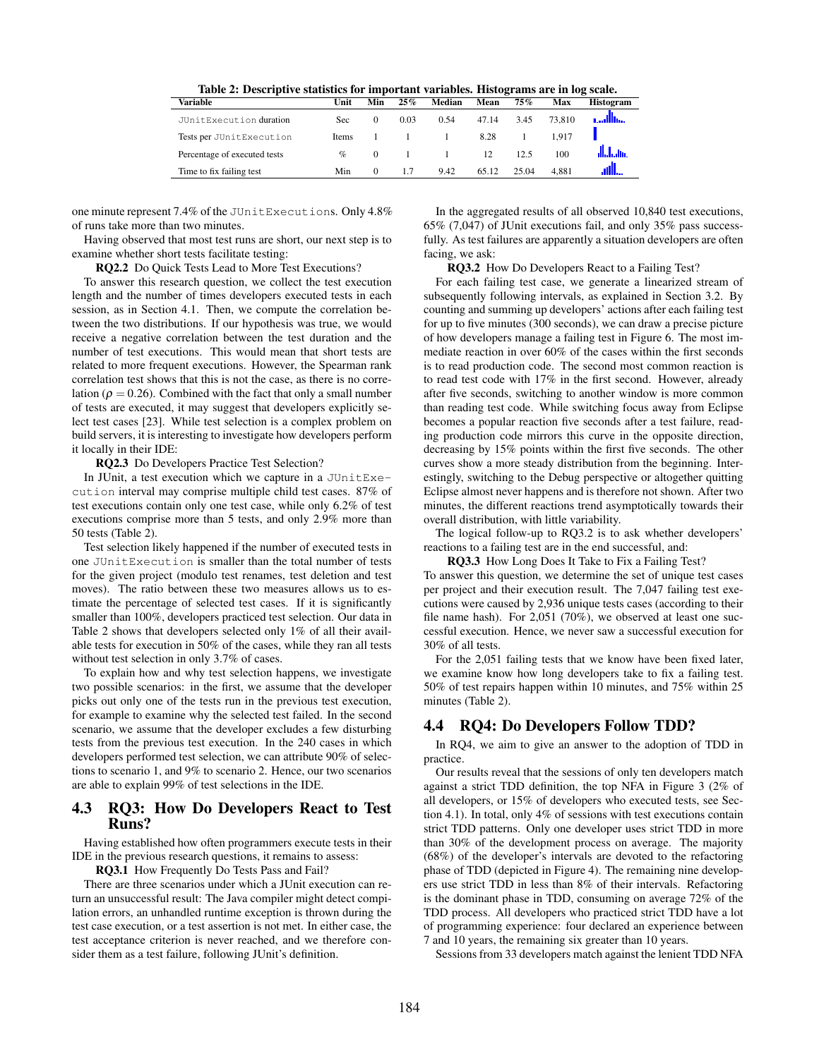<span id="page-6-0"></span>

| Table 2: Descriptive statistics for important variables. Histograms are in log scale. |  |
|---------------------------------------------------------------------------------------|--|
|---------------------------------------------------------------------------------------|--|

| Variable                     | Unit  | Min      | 25%  | Median | Mean  | $75\%$ | Max    | <b>Histogram</b> |
|------------------------------|-------|----------|------|--------|-------|--------|--------|------------------|
| JUnitExecution duration      | Sec   | $\Omega$ | 0.03 | 0.54   | 47.14 | 3.45   | 73.810 | <b>Collins</b>   |
| Tests per JUnitExecution     | Items |          |      |        | 8.28  |        | 1917   |                  |
| Percentage of executed tests | $\%$  | $\Omega$ |      |        | 12    | 12.5   | 100    |                  |
| Time to fix failing test     | Min   | $\Omega$ | 1.7  | 9.42   | 65.12 | 25.04  | 4.881  |                  |

one minute represent 7.4% of the JUnitExecutions. Only 4.8% of runs take more than two minutes.

Having observed that most test runs are short, our next step is to examine whether short tests facilitate testing:

RQ2.2 Do Quick Tests Lead to More Test Executions?

To answer this research question, we collect the test execution length and the number of times developers executed tests in each session, as in Section [4.1.](#page-5-2) Then, we compute the correlation between the two distributions. If our hypothesis was true, we would receive a negative correlation between the test duration and the number of test executions. This would mean that short tests are related to more frequent executions. However, the Spearman rank correlation test shows that this is not the case, as there is no correlation ( $\rho = 0.26$ ). Combined with the fact that only a small number of tests are executed, it may suggest that developers explicitly select test cases [\[23\]](#page-11-21). While test selection is a complex problem on build servers, it is interesting to investigate how developers perform it locally in their IDE:

RQ2.3 Do Developers Practice Test Selection?

In JUnit, a test execution which we capture in a JUnitExecution interval may comprise multiple child test cases. 87% of test executions contain only one test case, while only 6.2% of test executions comprise more than 5 tests, and only 2.9% more than 50 tests (Table [2\)](#page-6-0).

Test selection likely happened if the number of executed tests in one JUnitExecution is smaller than the total number of tests for the given project (modulo test renames, test deletion and test moves). The ratio between these two measures allows us to estimate the percentage of selected test cases. If it is significantly smaller than 100%, developers practiced test selection. Our data in Table [2](#page-6-0) shows that developers selected only 1% of all their available tests for execution in 50% of the cases, while they ran all tests without test selection in only 3.7% of cases.

To explain how and why test selection happens, we investigate two possible scenarios: in the first, we assume that the developer picks out only one of the tests run in the previous test execution, for example to examine why the selected test failed. In the second scenario, we assume that the developer excludes a few disturbing tests from the previous test execution. In the 240 cases in which developers performed test selection, we can attribute 90% of selections to scenario 1, and 9% to scenario 2. Hence, our two scenarios are able to explain 99% of test selections in the IDE.

## 4.3 RQ3: How Do Developers React to Test Runs?

Having established how often programmers execute tests in their IDE in the previous research questions, it remains to assess:

RQ3.1 How Frequently Do Tests Pass and Fail?

There are three scenarios under which a JUnit execution can return an unsuccessful result: The Java compiler might detect compilation errors, an unhandled runtime exception is thrown during the test case execution, or a test assertion is not met. In either case, the test acceptance criterion is never reached, and we therefore consider them as a test failure, following JUnit's definition.

In the aggregated results of all observed 10,840 test executions, 65% (7,047) of JUnit executions fail, and only 35% pass successfully. As test failures are apparently a situation developers are often facing, we ask:

RQ3.2 How Do Developers React to a Failing Test?

For each failing test case, we generate a linearized stream of subsequently following intervals, as explained in Section [3.2.](#page-4-3) By counting and summing up developers' actions after each failing test for up to five minutes (300 seconds), we can draw a precise picture of how developers manage a failing test in Figure [6.](#page-7-0) The most immediate reaction in over 60% of the cases within the first seconds is to read production code. The second most common reaction is to read test code with 17% in the first second. However, already after five seconds, switching to another window is more common than reading test code. While switching focus away from Eclipse becomes a popular reaction five seconds after a test failure, reading production code mirrors this curve in the opposite direction, decreasing by 15% points within the first five seconds. The other curves show a more steady distribution from the beginning. Interestingly, switching to the Debug perspective or altogether quitting Eclipse almost never happens and is therefore not shown. After two minutes, the different reactions trend asymptotically towards their overall distribution, with little variability.

The logical follow-up to RQ3.2 is to ask whether developers' reactions to a failing test are in the end successful, and:

RQ3.3 How Long Does It Take to Fix a Failing Test?

To answer this question, we determine the set of unique test cases per project and their execution result. The 7,047 failing test executions were caused by 2,936 unique tests cases (according to their file name hash). For 2,051 (70%), we observed at least one successful execution. Hence, we never saw a successful execution for 30% of all tests.

For the 2,051 failing tests that we know have been fixed later, we examine know how long developers take to fix a failing test. 50% of test repairs happen within 10 minutes, and 75% within 25 minutes (Table [2\)](#page-6-0).

## <span id="page-6-1"></span>4.4 RQ4: Do Developers Follow TDD?

In RQ4, we aim to give an answer to the adoption of TDD in practice.

Our results reveal that the sessions of only ten developers match against a strict TDD definition, the top NFA in Figure [3](#page-4-2) (2% of all developers, or 15% of developers who executed tests, see Section [4.1\)](#page-5-2). In total, only 4% of sessions with test executions contain strict TDD patterns. Only one developer uses strict TDD in more than 30% of the development process on average. The majority (68%) of the developer's intervals are devoted to the refactoring phase of TDD (depicted in Figure [4\)](#page-5-0). The remaining nine developers use strict TDD in less than 8% of their intervals. Refactoring is the dominant phase in TDD, consuming on average 72% of the TDD process. All developers who practiced strict TDD have a lot of programming experience: four declared an experience between 7 and 10 years, the remaining six greater than 10 years.

Sessions from 33 developers match against the lenient TDD NFA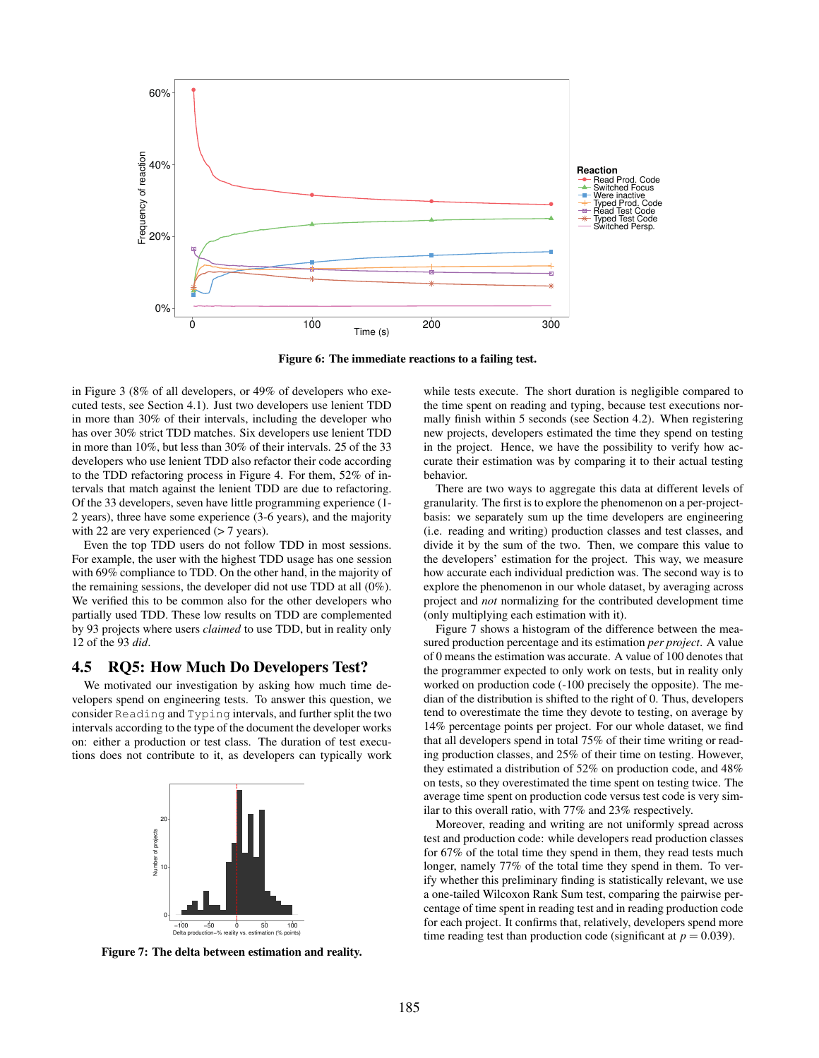

<span id="page-7-0"></span>Figure 6: The immediate reactions to a failing test.

in Figure [3](#page-4-2) (8% of all developers, or 49% of developers who executed tests, see Section [4.1\)](#page-5-2). Just two developers use lenient TDD in more than 30% of their intervals, including the developer who has over 30% strict TDD matches. Six developers use lenient TDD in more than 10%, but less than 30% of their intervals. 25 of the 33 developers who use lenient TDD also refactor their code according to the TDD refactoring process in Figure [4.](#page-5-0) For them, 52% of intervals that match against the lenient TDD are due to refactoring. Of the 33 developers, seven have little programming experience (1- 2 years), three have some experience (3-6 years), and the majority with 22 are very experienced ( $> 7$  years).

Even the top TDD users do not follow TDD in most sessions. For example, the user with the highest TDD usage has one session with 69% compliance to TDD. On the other hand, in the majority of the remaining sessions, the developer did not use TDD at all (0%). We verified this to be common also for the other developers who partially used TDD. These low results on TDD are complemented by 93 projects where users *claimed* to use TDD, but in reality only 12 of the 93 *did*.

#### 4.5 RQ5: How Much Do Developers Test?

We motivated our investigation by asking how much time developers spend on engineering tests. To answer this question, we consider Reading and Typing intervals, and further split the two intervals according to the type of the document the developer works on: either a production or test class. The duration of test executions does not contribute to it, as developers can typically work



<span id="page-7-1"></span>Figure 7: The delta between estimation and reality.

while tests execute. The short duration is negligible compared to the time spent on reading and typing, because test executions normally finish within 5 seconds (see Section [4.2\)](#page-5-3). When registering new projects, developers estimated the time they spend on testing in the project. Hence, we have the possibility to verify how accurate their estimation was by comparing it to their actual testing behavior.

There are two ways to aggregate this data at different levels of granularity. The first is to explore the phenomenon on a per-projectbasis: we separately sum up the time developers are engineering (i.e. reading and writing) production classes and test classes, and divide it by the sum of the two. Then, we compare this value to the developers' estimation for the project. This way, we measure how accurate each individual prediction was. The second way is to explore the phenomenon in our whole dataset, by averaging across project and *not* normalizing for the contributed development time (only multiplying each estimation with it).

Figure [7](#page-7-1) shows a histogram of the difference between the measured production percentage and its estimation *per project*. A value of 0 means the estimation was accurate. A value of 100 denotes that the programmer expected to only work on tests, but in reality only worked on production code (-100 precisely the opposite). The median of the distribution is shifted to the right of 0. Thus, developers tend to overestimate the time they devote to testing, on average by 14% percentage points per project. For our whole dataset, we find that all developers spend in total 75% of their time writing or reading production classes, and 25% of their time on testing. However, they estimated a distribution of 52% on production code, and 48% on tests, so they overestimated the time spent on testing twice. The average time spent on production code versus test code is very similar to this overall ratio, with 77% and 23% respectively.

Moreover, reading and writing are not uniformly spread across test and production code: while developers read production classes for 67% of the total time they spend in them, they read tests much longer, namely 77% of the total time they spend in them. To verify whether this preliminary finding is statistically relevant, we use a one-tailed Wilcoxon Rank Sum test, comparing the pairwise percentage of time spent in reading test and in reading production code for each project. It confirms that, relatively, developers spend more time reading test than production code (significant at  $p = 0.039$ ).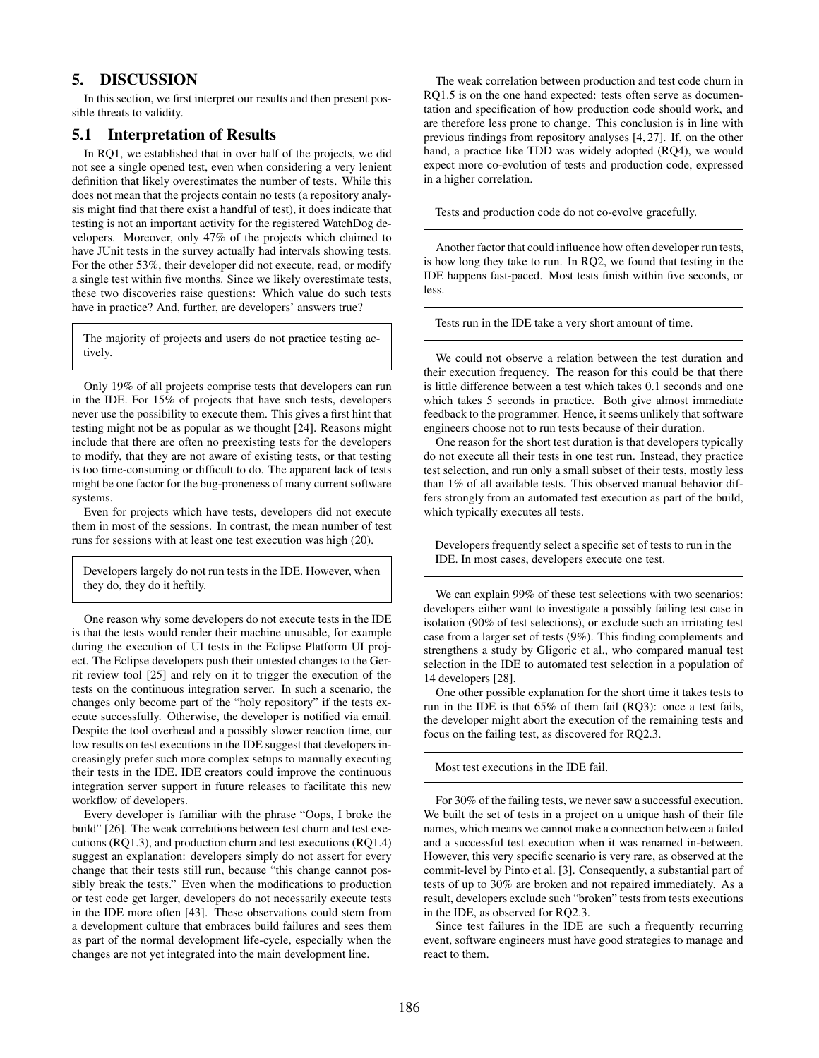# 5. DISCUSSION

In this section, we first interpret our results and then present possible threats to validity.

## 5.1 Interpretation of Results

In RQ1, we established that in over half of the projects, we did not see a single opened test, even when considering a very lenient definition that likely overestimates the number of tests. While this does not mean that the projects contain no tests (a repository analysis might find that there exist a handful of test), it does indicate that testing is not an important activity for the registered WatchDog developers. Moreover, only 47% of the projects which claimed to have JUnit tests in the survey actually had intervals showing tests. For the other 53%, their developer did not execute, read, or modify a single test within five months. Since we likely overestimate tests, these two discoveries raise questions: Which value do such tests have in practice? And, further, are developers' answers true?

The majority of projects and users do not practice testing actively.

Only 19% of all projects comprise tests that developers can run in the IDE. For 15% of projects that have such tests, developers never use the possibility to execute them. This gives a first hint that testing might not be as popular as we thought [\[24\]](#page-11-22). Reasons might include that there are often no preexisting tests for the developers to modify, that they are not aware of existing tests, or that testing is too time-consuming or difficult to do. The apparent lack of tests might be one factor for the bug-proneness of many current software systems.

Even for projects which have tests, developers did not execute them in most of the sessions. In contrast, the mean number of test runs for sessions with at least one test execution was high (20).

Developers largely do not run tests in the IDE. However, when they do, they do it heftily.

One reason why some developers do not execute tests in the IDE is that the tests would render their machine unusable, for example during the execution of UI tests in the Eclipse Platform UI project. The Eclipse developers push their untested changes to the Gerrit review tool [\[25\]](#page-11-23) and rely on it to trigger the execution of the tests on the continuous integration server. In such a scenario, the changes only become part of the "holy repository" if the tests execute successfully. Otherwise, the developer is notified via email. Despite the tool overhead and a possibly slower reaction time, our low results on test executions in the IDE suggest that developers increasingly prefer such more complex setups to manually executing their tests in the IDE. IDE creators could improve the continuous integration server support in future releases to facilitate this new workflow of developers.

Every developer is familiar with the phrase "Oops, I broke the build" [\[26\]](#page-11-24). The weak correlations between test churn and test executions (RQ1.3), and production churn and test executions (RQ1.4) suggest an explanation: developers simply do not assert for every change that their tests still run, because "this change cannot possibly break the tests." Even when the modifications to production or test code get larger, developers do not necessarily execute tests in the IDE more often [\[43\]](#page-12-0). These observations could stem from a development culture that embraces build failures and sees them as part of the normal development life-cycle, especially when the changes are not yet integrated into the main development line.

The weak correlation between production and test code churn in RQ1.5 is on the one hand expected: tests often serve as documentation and specification of how production code should work, and are therefore less prone to change. This conclusion is in line with previous findings from repository analyses [\[4,](#page-11-3) [27\]](#page-11-25). If, on the other hand, a practice like TDD was widely adopted (RQ4), we would expect more co-evolution of tests and production code, expressed in a higher correlation.

Tests and production code do not co-evolve gracefully.

Another factor that could influence how often developer run tests, is how long they take to run. In RQ2, we found that testing in the IDE happens fast-paced. Most tests finish within five seconds, or less.

Tests run in the IDE take a very short amount of time.

We could not observe a relation between the test duration and their execution frequency. The reason for this could be that there is little difference between a test which takes 0.1 seconds and one which takes 5 seconds in practice. Both give almost immediate feedback to the programmer. Hence, it seems unlikely that software engineers choose not to run tests because of their duration.

One reason for the short test duration is that developers typically do not execute all their tests in one test run. Instead, they practice test selection, and run only a small subset of their tests, mostly less than 1% of all available tests. This observed manual behavior differs strongly from an automated test execution as part of the build, which typically executes all tests.

Developers frequently select a specific set of tests to run in the IDE. In most cases, developers execute one test.

We can explain 99% of these test selections with two scenarios: developers either want to investigate a possibly failing test case in isolation (90% of test selections), or exclude such an irritating test case from a larger set of tests (9%). This finding complements and strengthens a study by Gligoric et al., who compared manual test selection in the IDE to automated test selection in a population of 14 developers [\[28\]](#page-11-26).

One other possible explanation for the short time it takes tests to run in the IDE is that 65% of them fail (RQ3): once a test fails, the developer might abort the execution of the remaining tests and focus on the failing test, as discovered for RQ2.3.

Most test executions in the IDE fail.

For 30% of the failing tests, we never saw a successful execution. We built the set of tests in a project on a unique hash of their file names, which means we cannot make a connection between a failed and a successful test execution when it was renamed in-between. However, this very specific scenario is very rare, as observed at the commit-level by Pinto et al. [\[3\]](#page-11-2). Consequently, a substantial part of tests of up to 30% are broken and not repaired immediately. As a result, developers exclude such "broken" tests from tests executions in the IDE, as observed for RQ2.3.

Since test failures in the IDE are such a frequently recurring event, software engineers must have good strategies to manage and react to them.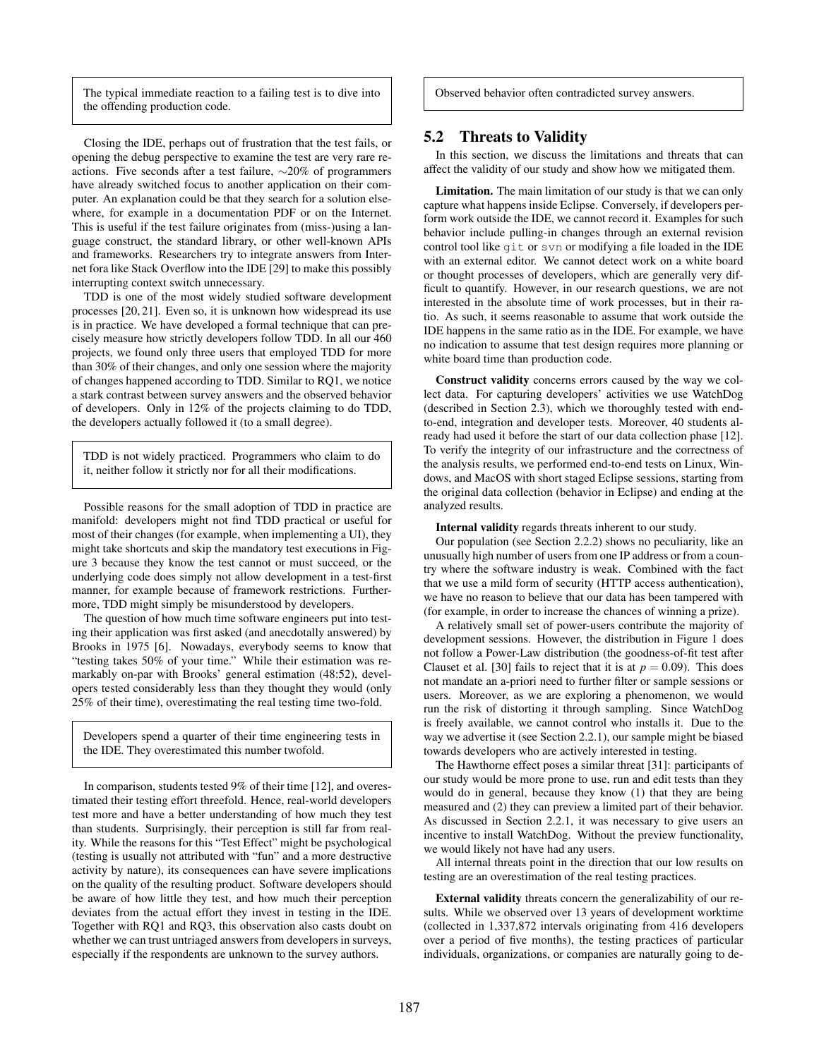The typical immediate reaction to a failing test is to dive into the offending production code.

Closing the IDE, perhaps out of frustration that the test fails, or opening the debug perspective to examine the test are very rare reactions. Five seconds after a test failure, ∼20% of programmers have already switched focus to another application on their computer. An explanation could be that they search for a solution elsewhere, for example in a documentation PDF or on the Internet. This is useful if the test failure originates from (miss-)using a language construct, the standard library, or other well-known APIs and frameworks. Researchers try to integrate answers from Internet fora like Stack Overflow into the IDE [\[29\]](#page-11-27) to make this possibly interrupting context switch unnecessary.

TDD is one of the most widely studied software development processes [\[20,](#page-11-18) [21\]](#page-11-19). Even so, it is unknown how widespread its use is in practice. We have developed a formal technique that can precisely measure how strictly developers follow TDD. In all our 460 projects, we found only three users that employed TDD for more than 30% of their changes, and only one session where the majority of changes happened according to TDD. Similar to RQ1, we notice a stark contrast between survey answers and the observed behavior of developers. Only in 12% of the projects claiming to do TDD, the developers actually followed it (to a small degree).

TDD is not widely practiced. Programmers who claim to do it, neither follow it strictly nor for all their modifications.

Possible reasons for the small adoption of TDD in practice are manifold: developers might not find TDD practical or useful for most of their changes (for example, when implementing a UI), they might take shortcuts and skip the mandatory test executions in Figure [3](#page-4-2) because they know the test cannot or must succeed, or the underlying code does simply not allow development in a test-first manner, for example because of framework restrictions. Furthermore, TDD might simply be misunderstood by developers.

The question of how much time software engineers put into testing their application was first asked (and anecdotally answered) by Brooks in 1975 [\[6\]](#page-11-5). Nowadays, everybody seems to know that "testing takes 50% of your time." While their estimation was remarkably on-par with Brooks' general estimation (48:52), developers tested considerably less than they thought they would (only 25% of their time), overestimating the real testing time two-fold.

Developers spend a quarter of their time engineering tests in the IDE. They overestimated this number twofold.

In comparison, students tested 9% of their time [\[12\]](#page-11-10), and overestimated their testing effort threefold. Hence, real-world developers test more and have a better understanding of how much they test than students. Surprisingly, their perception is still far from reality. While the reasons for this "Test Effect" might be psychological (testing is usually not attributed with "fun" and a more destructive activity by nature), its consequences can have severe implications on the quality of the resulting product. Software developers should be aware of how little they test, and how much their perception deviates from the actual effort they invest in testing in the IDE. Together with RQ1 and RQ3, this observation also casts doubt on whether we can trust untriaged answers from developers in surveys, especially if the respondents are unknown to the survey authors.

Observed behavior often contradicted survey answers.

#### 5.2 Threats to Validity

In this section, we discuss the limitations and threats that can affect the validity of our study and show how we mitigated them.

Limitation. The main limitation of our study is that we can only capture what happens inside Eclipse. Conversely, if developers perform work outside the IDE, we cannot record it. Examples for such behavior include pulling-in changes through an external revision control tool like git or svn or modifying a file loaded in the IDE with an external editor. We cannot detect work on a white board or thought processes of developers, which are generally very difficult to quantify. However, in our research questions, we are not interested in the absolute time of work processes, but in their ratio. As such, it seems reasonable to assume that work outside the IDE happens in the same ratio as in the IDE. For example, we have no indication to assume that test design requires more planning or white board time than production code.

Construct validity concerns errors caused by the way we collect data. For capturing developers' activities we use WatchDog (described in Section [2.3\)](#page-2-4), which we thoroughly tested with endto-end, integration and developer tests. Moreover, 40 students already had used it before the start of our data collection phase [\[12\]](#page-11-10). To verify the integrity of our infrastructure and the correctness of the analysis results, we performed end-to-end tests on Linux, Windows, and MacOS with short staged Eclipse sessions, starting from the original data collection (behavior in Eclipse) and ending at the analyzed results.

Internal validity regards threats inherent to our study.

Our population (see Section [2.2.2\)](#page-2-8) shows no peculiarity, like an unusually high number of users from one IP address or from a country where the software industry is weak. Combined with the fact that we use a mild form of security (HTTP access authentication), we have no reason to believe that our data has been tampered with (for example, in order to increase the chances of winning a prize).

A relatively small set of power-users contribute the majority of development sessions. However, the distribution in Figure [1](#page-2-5) does not follow a Power-Law distribution (the goodness-of-fit test after Clauset et al. [\[30\]](#page-11-28) fails to reject that it is at  $p = 0.09$ ). This does not mandate an a-priori need to further filter or sample sessions or users. Moreover, as we are exploring a phenomenon, we would run the risk of distorting it through sampling. Since WatchDog is freely available, we cannot control who installs it. Due to the way we advertise it (see Section [2.2.1\)](#page-2-9), our sample might be biased towards developers who are actively interested in testing.

The Hawthorne effect poses a similar threat [\[31\]](#page-11-29): participants of our study would be more prone to use, run and edit tests than they would do in general, because they know (1) that they are being measured and (2) they can preview a limited part of their behavior. As discussed in Section [2.2.1,](#page-2-10) it was necessary to give users an incentive to install WatchDog. Without the preview functionality, we would likely not have had any users.

All internal threats point in the direction that our low results on testing are an overestimation of the real testing practices.

External validity threats concern the generalizability of our results. While we observed over 13 years of development worktime (collected in 1,337,872 intervals originating from 416 developers over a period of five months), the testing practices of particular individuals, organizations, or companies are naturally going to de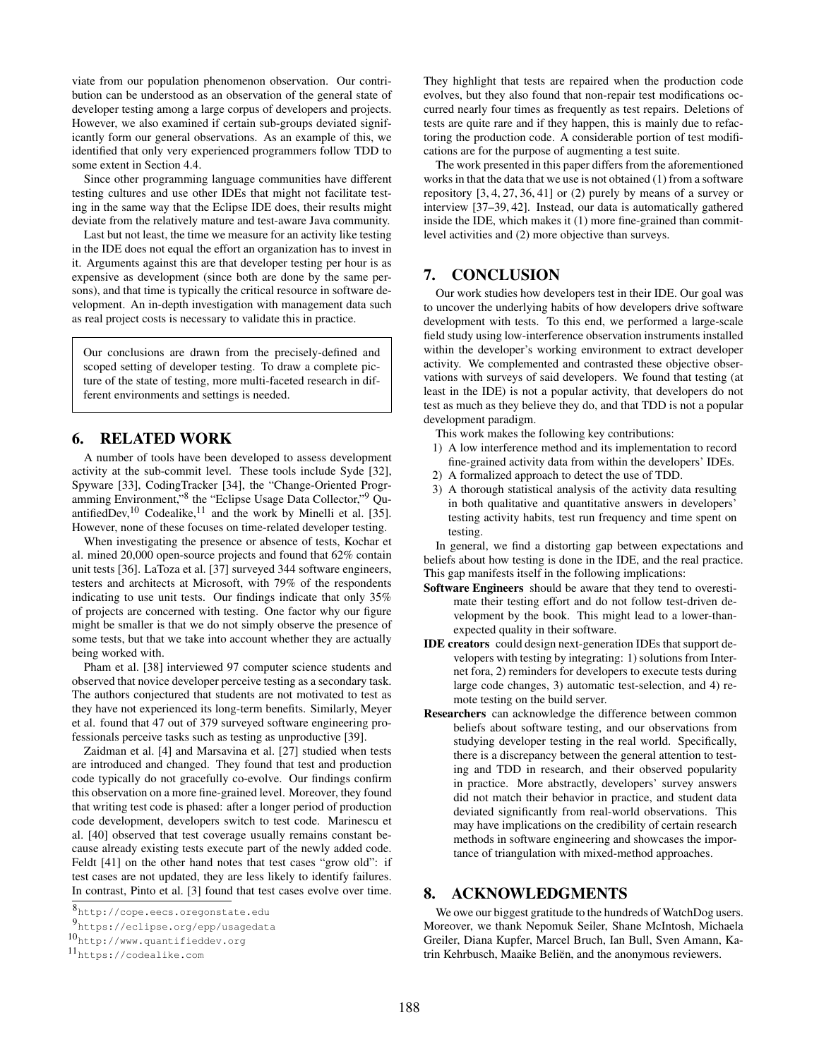viate from our population phenomenon observation. Our contribution can be understood as an observation of the general state of developer testing among a large corpus of developers and projects. However, we also examined if certain sub-groups deviated significantly form our general observations. As an example of this, we identified that only very experienced programmers follow TDD to some extent in Section [4.4.](#page-6-1)

Since other programming language communities have different testing cultures and use other IDEs that might not facilitate testing in the same way that the Eclipse IDE does, their results might deviate from the relatively mature and test-aware Java community.

Last but not least, the time we measure for an activity like testing in the IDE does not equal the effort an organization has to invest in it. Arguments against this are that developer testing per hour is as expensive as development (since both are done by the same persons), and that time is typically the critical resource in software development. An in-depth investigation with management data such as real project costs is necessary to validate this in practice.

Our conclusions are drawn from the precisely-defined and scoped setting of developer testing. To draw a complete picture of the state of testing, more multi-faceted research in different environments and settings is needed.

# 6. RELATED WORK

A number of tools have been developed to assess development activity at the sub-commit level. These tools include Syde [\[32\]](#page-11-30), Spyware [\[33\]](#page-11-31), CodingTracker [\[34\]](#page-11-32), the "Change-Oriented Progr-amming Environment,"<sup>[8](#page-10-0)</sup> the "Eclipse Usage Data Collector,"<sup>[9](#page-10-1)</sup> Qu-antifiedDev,<sup>[10](#page-10-2)</sup> Codealike,<sup>[11](#page-10-3)</sup> and the work by Minelli et al. [\[35\]](#page-11-33). However, none of these focuses on time-related developer testing.

When investigating the presence or absence of tests, Kochar et al. mined 20,000 open-source projects and found that 62% contain unit tests [\[36\]](#page-12-1). LaToza et al. [\[37\]](#page-12-2) surveyed 344 software engineers, testers and architects at Microsoft, with 79% of the respondents indicating to use unit tests. Our findings indicate that only 35% of projects are concerned with testing. One factor why our figure might be smaller is that we do not simply observe the presence of some tests, but that we take into account whether they are actually being worked with.

Pham et al. [\[38\]](#page-12-3) interviewed 97 computer science students and observed that novice developer perceive testing as a secondary task. The authors conjectured that students are not motivated to test as they have not experienced its long-term benefits. Similarly, Meyer et al. found that 47 out of 379 surveyed software engineering professionals perceive tasks such as testing as unproductive [\[39\]](#page-12-4).

Zaidman et al. [\[4\]](#page-11-3) and Marsavina et al. [\[27\]](#page-11-25) studied when tests are introduced and changed. They found that test and production code typically do not gracefully co-evolve. Our findings confirm this observation on a more fine-grained level. Moreover, they found that writing test code is phased: after a longer period of production code development, developers switch to test code. Marinescu et al. [\[40\]](#page-12-5) observed that test coverage usually remains constant because already existing tests execute part of the newly added code. Feldt [\[41\]](#page-12-6) on the other hand notes that test cases "grow old": if test cases are not updated, they are less likely to identify failures. In contrast, Pinto et al. [\[3\]](#page-11-2) found that test cases evolve over time. They highlight that tests are repaired when the production code evolves, but they also found that non-repair test modifications occurred nearly four times as frequently as test repairs. Deletions of tests are quite rare and if they happen, this is mainly due to refactoring the production code. A considerable portion of test modifications are for the purpose of augmenting a test suite.

The work presented in this paper differs from the aforementioned works in that the data that we use is not obtained (1) from a software repository [\[3,](#page-11-2) [4,](#page-11-3) [27,](#page-11-25) [36,](#page-12-1) [41\]](#page-12-6) or (2) purely by means of a survey or interview [\[37–](#page-12-2)[39,](#page-12-4) [42\]](#page-12-7). Instead, our data is automatically gathered inside the IDE, which makes it (1) more fine-grained than commitlevel activities and (2) more objective than surveys.

## 7. CONCLUSION

Our work studies how developers test in their IDE. Our goal was to uncover the underlying habits of how developers drive software development with tests. To this end, we performed a large-scale field study using low-interference observation instruments installed within the developer's working environment to extract developer activity. We complemented and contrasted these objective observations with surveys of said developers. We found that testing (at least in the IDE) is not a popular activity, that developers do not test as much as they believe they do, and that TDD is not a popular development paradigm.

This work makes the following key contributions:

- 1) A low interference method and its implementation to record fine-grained activity data from within the developers' IDEs.
- 2) A formalized approach to detect the use of TDD.
- 3) A thorough statistical analysis of the activity data resulting in both qualitative and quantitative answers in developers' testing activity habits, test run frequency and time spent on testing.

In general, we find a distorting gap between expectations and beliefs about how testing is done in the IDE, and the real practice. This gap manifests itself in the following implications:

- Software Engineers should be aware that they tend to overestimate their testing effort and do not follow test-driven development by the book. This might lead to a lower-thanexpected quality in their software.
- IDE creators could design next-generation IDEs that support developers with testing by integrating: 1) solutions from Internet fora, 2) reminders for developers to execute tests during large code changes, 3) automatic test-selection, and 4) remote testing on the build server.
- Researchers can acknowledge the difference between common beliefs about software testing, and our observations from studying developer testing in the real world. Specifically, there is a discrepancy between the general attention to testing and TDD in research, and their observed popularity in practice. More abstractly, developers' survey answers did not match their behavior in practice, and student data deviated significantly from real-world observations. This may have implications on the credibility of certain research methods in software engineering and showcases the importance of triangulation with mixed-method approaches.

## 8. ACKNOWLEDGMENTS

We owe our biggest gratitude to the hundreds of WatchDog users. Moreover, we thank Nepomuk Seiler, Shane McIntosh, Michaela Greiler, Diana Kupfer, Marcel Bruch, Ian Bull, Sven Amann, Katrin Kehrbusch, Maaike Beliën, and the anonymous reviewers.

<span id="page-10-0"></span><sup>8</sup><http://cope.eecs.oregonstate.edu>

<span id="page-10-1"></span><sup>9</sup><https://eclipse.org/epp/usagedata>

<span id="page-10-2"></span><sup>10</sup><http://www.quantifieddev.org>

<span id="page-10-3"></span><sup>11</sup><https://codealike.com>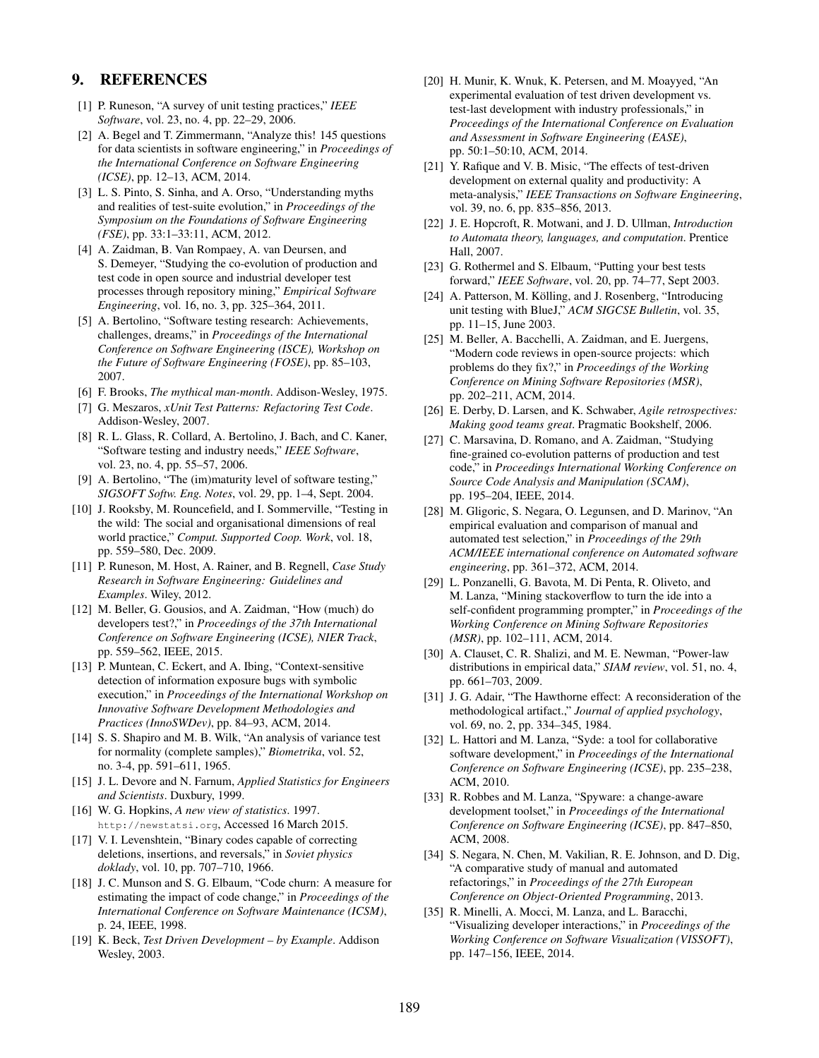# 9. REFERENCES

- <span id="page-11-0"></span>[1] P. Runeson, "A survey of unit testing practices," *IEEE Software*, vol. 23, no. 4, pp. 22–29, 2006.
- <span id="page-11-1"></span>[2] A. Begel and T. Zimmermann, "Analyze this! 145 questions for data scientists in software engineering," in *Proceedings of the International Conference on Software Engineering (ICSE)*, pp. 12–13, ACM, 2014.
- <span id="page-11-2"></span>[3] L. S. Pinto, S. Sinha, and A. Orso, "Understanding myths and realities of test-suite evolution," in *Proceedings of the Symposium on the Foundations of Software Engineering (FSE)*, pp. 33:1–33:11, ACM, 2012.
- <span id="page-11-3"></span>[4] A. Zaidman, B. Van Rompaey, A. van Deursen, and S. Demeyer, "Studying the co-evolution of production and test code in open source and industrial developer test processes through repository mining," *Empirical Software Engineering*, vol. 16, no. 3, pp. 325–364, 2011.
- <span id="page-11-4"></span>[5] A. Bertolino, "Software testing research: Achievements, challenges, dreams," in *Proceedings of the International Conference on Software Engineering (ISCE), Workshop on the Future of Software Engineering (FOSE)*, pp. 85–103, 2007.
- <span id="page-11-5"></span>[6] F. Brooks, *The mythical man-month*. Addison-Wesley, 1975.
- <span id="page-11-6"></span>[7] G. Meszaros, *xUnit Test Patterns: Refactoring Test Code*. Addison-Wesley, 2007.
- <span id="page-11-7"></span>[8] R. L. Glass, R. Collard, A. Bertolino, J. Bach, and C. Kaner, "Software testing and industry needs," *IEEE Software*, vol. 23, no. 4, pp. 55–57, 2006.
- [9] A. Bertolino, "The (im)maturity level of software testing," *SIGSOFT Softw. Eng. Notes*, vol. 29, pp. 1–4, Sept. 2004.
- <span id="page-11-8"></span>[10] J. Rooksby, M. Rouncefield, and I. Sommerville, "Testing in the wild: The social and organisational dimensions of real world practice," *Comput. Supported Coop. Work*, vol. 18, pp. 559–580, Dec. 2009.
- <span id="page-11-9"></span>[11] P. Runeson, M. Host, A. Rainer, and B. Regnell, *Case Study Research in Software Engineering: Guidelines and Examples*. Wiley, 2012.
- <span id="page-11-10"></span>[12] M. Beller, G. Gousios, and A. Zaidman, "How (much) do developers test?," in *Proceedings of the 37th International Conference on Software Engineering (ICSE), NIER Track*, pp. 559–562, IEEE, 2015.
- <span id="page-11-11"></span>[13] P. Muntean, C. Eckert, and A. Ibing, "Context-sensitive detection of information exposure bugs with symbolic execution," in *Proceedings of the International Workshop on Innovative Software Development Methodologies and Practices (InnoSWDev)*, pp. 84–93, ACM, 2014.
- <span id="page-11-12"></span>[14] S. S. Shapiro and M. B. Wilk, "An analysis of variance test for normality (complete samples)," *Biometrika*, vol. 52, no. 3-4, pp. 591–611, 1965.
- <span id="page-11-13"></span>[15] J. L. Devore and N. Farnum, *Applied Statistics for Engineers and Scientists*. Duxbury, 1999.
- <span id="page-11-14"></span>[16] W. G. Hopkins, *A new view of statistics*. 1997. <http://newstatsi.org>, Accessed 16 March 2015.
- <span id="page-11-15"></span>[17] V. I. Levenshtein, "Binary codes capable of correcting deletions, insertions, and reversals," in *Soviet physics doklady*, vol. 10, pp. 707–710, 1966.
- <span id="page-11-16"></span>[18] J. C. Munson and S. G. Elbaum, "Code churn: A measure for estimating the impact of code change," in *Proceedings of the International Conference on Software Maintenance (ICSM)*, p. 24, IEEE, 1998.
- <span id="page-11-17"></span>[19] K. Beck, *Test Driven Development – by Example*. Addison Wesley, 2003.
- <span id="page-11-18"></span>[20] H. Munir, K. Wnuk, K. Petersen, and M. Moayyed, "An experimental evaluation of test driven development vs. test-last development with industry professionals," in *Proceedings of the International Conference on Evaluation and Assessment in Software Engineering (EASE)*, pp. 50:1–50:10, ACM, 2014.
- <span id="page-11-19"></span>[21] Y. Rafique and V. B. Misic, "The effects of test-driven development on external quality and productivity: A meta-analysis," *IEEE Transactions on Software Engineering*, vol. 39, no. 6, pp. 835–856, 2013.
- <span id="page-11-20"></span>[22] J. E. Hopcroft, R. Motwani, and J. D. Ullman, *Introduction to Automata theory, languages, and computation*. Prentice Hall, 2007.
- <span id="page-11-21"></span>[23] G. Rothermel and S. Elbaum, "Putting your best tests forward," *IEEE Software*, vol. 20, pp. 74–77, Sept 2003.
- <span id="page-11-22"></span>[24] A. Patterson, M. Kölling, and J. Rosenberg, "Introducing unit testing with BlueJ," *ACM SIGCSE Bulletin*, vol. 35, pp. 11–15, June 2003.
- <span id="page-11-23"></span>[25] M. Beller, A. Bacchelli, A. Zaidman, and E. Juergens, "Modern code reviews in open-source projects: which problems do they fix?," in *Proceedings of the Working Conference on Mining Software Repositories (MSR)*, pp. 202–211, ACM, 2014.
- <span id="page-11-24"></span>[26] E. Derby, D. Larsen, and K. Schwaber, *Agile retrospectives: Making good teams great*. Pragmatic Bookshelf, 2006.
- <span id="page-11-25"></span>[27] C. Marsavina, D. Romano, and A. Zaidman, "Studying fine-grained co-evolution patterns of production and test code," in *Proceedings International Working Conference on Source Code Analysis and Manipulation (SCAM)*, pp. 195–204, IEEE, 2014.
- <span id="page-11-26"></span>[28] M. Gligoric, S. Negara, O. Legunsen, and D. Marinov, "An empirical evaluation and comparison of manual and automated test selection," in *Proceedings of the 29th ACM/IEEE international conference on Automated software engineering*, pp. 361–372, ACM, 2014.
- <span id="page-11-27"></span>[29] L. Ponzanelli, G. Bavota, M. Di Penta, R. Oliveto, and M. Lanza, "Mining stackoverflow to turn the ide into a self-confident programming prompter," in *Proceedings of the Working Conference on Mining Software Repositories (MSR)*, pp. 102–111, ACM, 2014.
- <span id="page-11-28"></span>[30] A. Clauset, C. R. Shalizi, and M. E. Newman, "Power-law distributions in empirical data," *SIAM review*, vol. 51, no. 4, pp. 661–703, 2009.
- <span id="page-11-29"></span>[31] J. G. Adair, "The Hawthorne effect: A reconsideration of the methodological artifact.," *Journal of applied psychology*, vol. 69, no. 2, pp. 334–345, 1984.
- <span id="page-11-30"></span>[32] L. Hattori and M. Lanza, "Syde: a tool for collaborative software development," in *Proceedings of the International Conference on Software Engineering (ICSE)*, pp. 235–238, ACM, 2010.
- <span id="page-11-31"></span>[33] R. Robbes and M. Lanza, "Spyware: a change-aware development toolset," in *Proceedings of the International Conference on Software Engineering (ICSE)*, pp. 847–850, ACM, 2008.
- <span id="page-11-32"></span>[34] S. Negara, N. Chen, M. Vakilian, R. E. Johnson, and D. Dig, "A comparative study of manual and automated refactorings," in *Proceedings of the 27th European Conference on Object-Oriented Programming*, 2013.
- <span id="page-11-33"></span>[35] R. Minelli, A. Mocci, M. Lanza, and L. Baracchi, "Visualizing developer interactions," in *Proceedings of the Working Conference on Software Visualization (VISSOFT)*, pp. 147–156, IEEE, 2014.